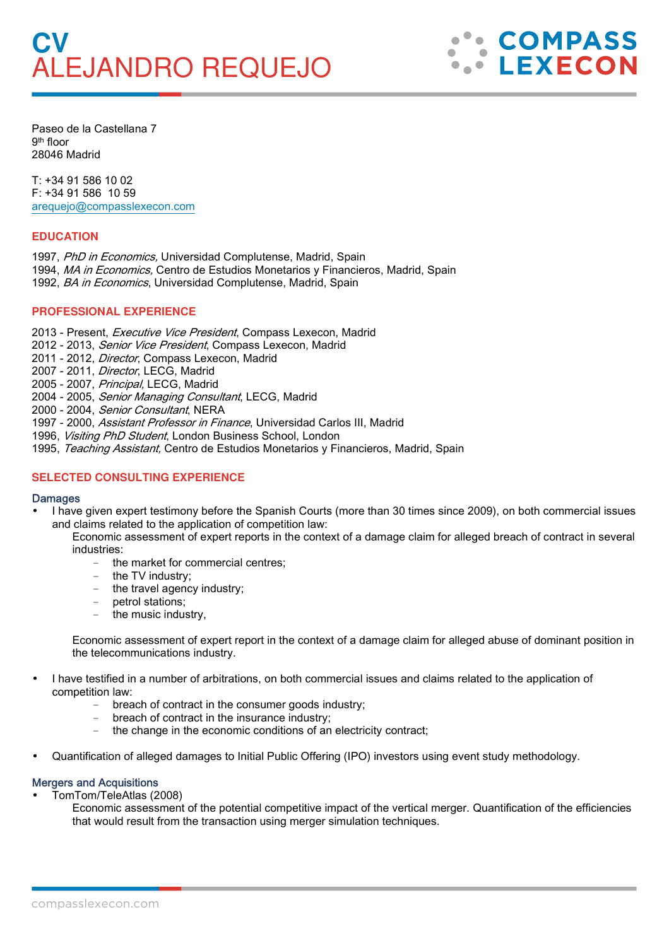# **CV**  ALEJANDRO REQUEJO



Paseo de la Castellana 7 9th floor 28046 Madrid

T: +34 91 586 10 02 F: +34 91 586 10 59 arequejo@compasslexecon.com

# **EDUCATION**

- 1997, PhD in Economics, Universidad Complutense, Madrid, Spain
- 1994, MA in Economics, Centro de Estudios Monetarios y Financieros, Madrid, Spain
- 1992, BA in Economics, Universidad Complutense, Madrid, Spain

## **PROFESSIONAL EXPERIENCE**

- 2013 Present, Executive Vice President, Compass Lexecon, Madrid
- 2012 2013, Senior Vice President, Compass Lexecon, Madrid
- 2011 2012, Director, Compass Lexecon, Madrid
- 2007 2011, Director, LECG, Madrid
- 2005 2007, Principal, LECG, Madrid
- 2004 2005, Senior Managing Consultant, LECG, Madrid
- 2000 2004, Senior Consultant, NERA
- 1997 2000, Assistant Professor in Finance, Universidad Carlos III, Madrid
- 1996, Visiting PhD Student, London Business School, London
- 1995, Teaching Assistant, Centro de Estudios Monetarios y Financieros, Madrid, Spain

## **SELECTED CONSULTING EXPERIENCE**

#### **Damages**

• I have given expert testimony before the Spanish Courts (more than 30 times since 2009), on both commercial issues and claims related to the application of competition law:

Economic assessment of expert reports in the context of a damage claim for alleged breach of contract in several industries:

- the market for commercial centres;
- the TV industry;
- the travel agency industry:
- petrol stations;
- the music industry,

Economic assessment of expert report in the context of a damage claim for alleged abuse of dominant position in the telecommunications industry.

- I have testified in a number of arbitrations, on both commercial issues and claims related to the application of competition law:
	- breach of contract in the consumer goods industry;
	- breach of contract in the insurance industry;
	- the change in the economic conditions of an electricity contract;
- Quantification of alleged damages to Initial Public Offering (IPO) investors using event study methodology.

## Mergers and Acquisitions

- TomTom/TeleAtlas (2008)
	- Economic assessment of the potential competitive impact of the vertical merger. Quantification of the efficiencies that would result from the transaction using merger simulation techniques.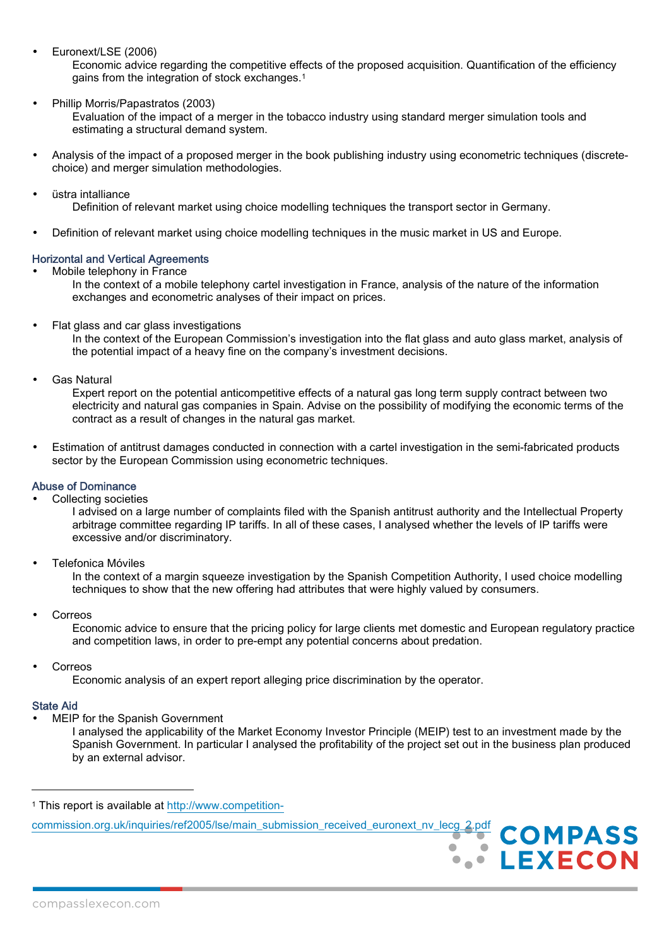• Euronext/LSE (2006)

Economic advice regarding the competitive effects of the proposed acquisition. Quantification of the efficiency gains from the integration of stock exchanges.<sup>1</sup>

• Phillip Morris/Papastratos (2003)

Evaluation of the impact of a merger in the tobacco industry using standard merger simulation tools and estimating a structural demand system.

- Analysis of the impact of a proposed merger in the book publishing industry using econometric techniques (discretechoice) and merger simulation methodologies.
- üstra intalliance Definition of relevant market using choice modelling techniques the transport sector in Germany.
- Definition of relevant market using choice modelling techniques in the music market in US and Europe.

#### Horizontal and Vertical Agreements

• Mobile telephony in France

In the context of a mobile telephony cartel investigation in France, analysis of the nature of the information exchanges and econometric analyses of their impact on prices.

• Flat glass and car glass investigations

In the context of the European Commission's investigation into the flat glass and auto glass market, analysis of the potential impact of a heavy fine on the company's investment decisions.

Gas Natural

Expert report on the potential anticompetitive effects of a natural gas long term supply contract between two electricity and natural gas companies in Spain. Advise on the possibility of modifying the economic terms of the contract as a result of changes in the natural gas market.

• Estimation of antitrust damages conducted in connection with a cartel investigation in the semi-fabricated products sector by the European Commission using econometric techniques.

## Abuse of Dominance

• Collecting societies

I advised on a large number of complaints filed with the Spanish antitrust authority and the Intellectual Property arbitrage committee regarding IP tariffs. In all of these cases, I analysed whether the levels of IP tariffs were excessive and/or discriminatory.

• Telefonica Móviles

In the context of a margin squeeze investigation by the Spanish Competition Authority, I used choice modelling techniques to show that the new offering had attributes that were highly valued by consumers.

**Correos** 

Economic advice to ensure that the pricing policy for large clients met domestic and European regulatory practice and competition laws, in order to pre-empt any potential concerns about predation.

• Correos

Economic analysis of an expert report alleging price discrimination by the operator.

#### State Aid

l

MEIP for the Spanish Government

I analysed the applicability of the Market Economy Investor Principle (MEIP) test to an investment made by the Spanish Government. In particular I analysed the profitability of the project set out in the business plan produced by an external advisor.

> **COMPASS LEXECON**

commission.org.uk/inquiries/ref2005/lse/main\_submission\_received\_euronext\_nv\_lecg\_2.pdf

<sup>1</sup> This report is available at http://www.competition-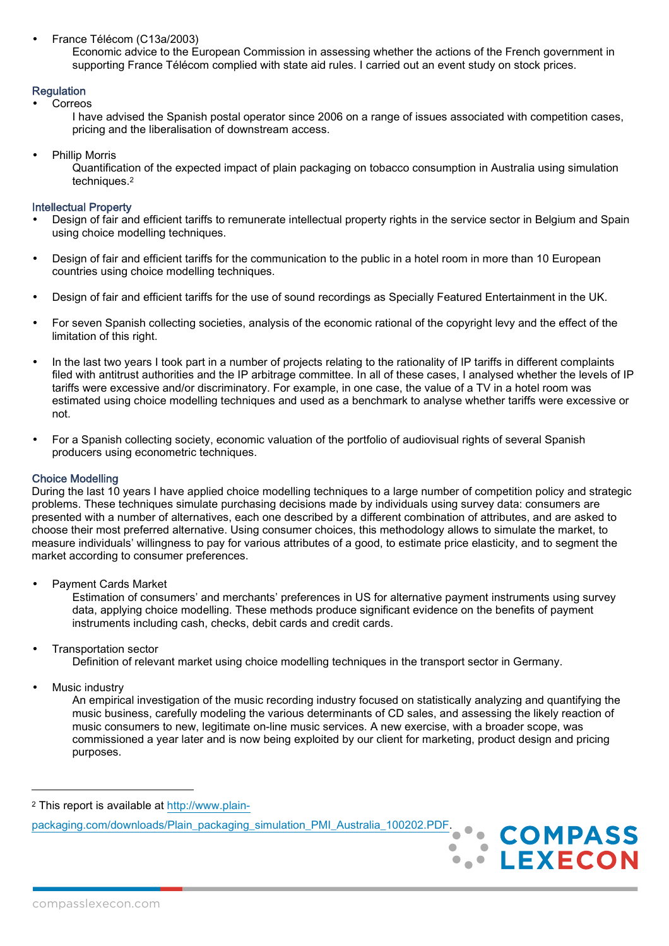• France Télécom (C13a/2003)

Economic advice to the European Commission in assessing whether the actions of the French government in supporting France Télécom complied with state aid rules. I carried out an event study on stock prices.

# **Regulation**

**Correos** 

I have advised the Spanish postal operator since 2006 on a range of issues associated with competition cases, pricing and the liberalisation of downstream access.

• Phillip Morris

Quantification of the expected impact of plain packaging on tobacco consumption in Australia using simulation techniques.<sup>2</sup>

## Intellectual Property

- Design of fair and efficient tariffs to remunerate intellectual property rights in the service sector in Belgium and Spain using choice modelling techniques.
- Design of fair and efficient tariffs for the communication to the public in a hotel room in more than 10 European countries using choice modelling techniques.
- Design of fair and efficient tariffs for the use of sound recordings as Specially Featured Entertainment in the UK.
- For seven Spanish collecting societies, analysis of the economic rational of the copyright levy and the effect of the limitation of this right.
- In the last two years I took part in a number of projects relating to the rationality of IP tariffs in different complaints filed with antitrust authorities and the IP arbitrage committee. In all of these cases, I analysed whether the levels of IP tariffs were excessive and/or discriminatory. For example, in one case, the value of a TV in a hotel room was estimated using choice modelling techniques and used as a benchmark to analyse whether tariffs were excessive or not.
- For a Spanish collecting society, economic valuation of the portfolio of audiovisual rights of several Spanish producers using econometric techniques.

#### Choice Modelling

During the last 10 years I have applied choice modelling techniques to a large number of competition policy and strategic problems. These techniques simulate purchasing decisions made by individuals using survey data: consumers are presented with a number of alternatives, each one described by a different combination of attributes, and are asked to choose their most preferred alternative. Using consumer choices, this methodology allows to simulate the market, to measure individuals' willingness to pay for various attributes of a good, to estimate price elasticity, and to segment the market according to consumer preferences.

• Payment Cards Market

Estimation of consumers' and merchants' preferences in US for alternative payment instruments using survey data, applying choice modelling. These methods produce significant evidence on the benefits of payment instruments including cash, checks, debit cards and credit cards.

• Transportation sector

Definition of relevant market using choice modelling techniques in the transport sector in Germany.

Music industry

l

An empirical investigation of the music recording industry focused on statistically analyzing and quantifying the music business, carefully modeling the various determinants of CD sales, and assessing the likely reaction of music consumers to new, legitimate on-line music services. A new exercise, with a broader scope, was commissioned a year later and is now being exploited by our client for marketing, product design and pricing purposes.

2 This report is available at http://www.plainpackaging.com/downloads/Plain\_packaging\_simulation\_PMI\_Australia\_100202.PDF.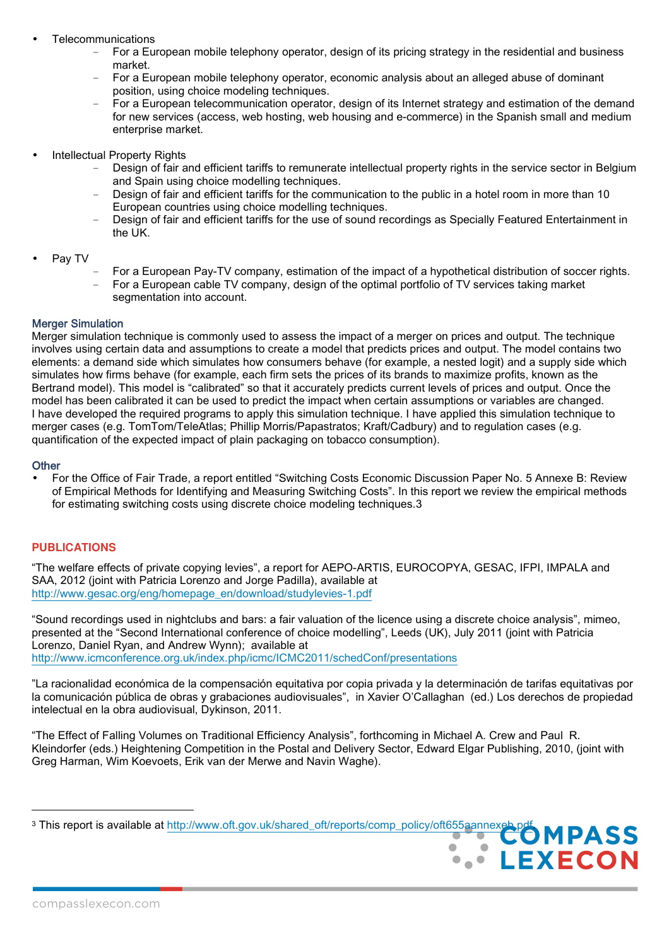- Telecommunications
	- For a European mobile telephony operator, design of its pricing strategy in the residential and business market.
	- For a European mobile telephony operator, economic analysis about an alleged abuse of dominant position, using choice modeling techniques.
	- For a European telecommunication operator, design of its Internet strategy and estimation of the demand for new services (access, web hosting, web housing and e-commerce) in the Spanish small and medium enterprise market.
- Intellectual Property Rights
	- Design of fair and efficient tariffs to remunerate intellectual property rights in the service sector in Belgium and Spain using choice modelling techniques.
	- Design of fair and efficient tariffs for the communication to the public in a hotel room in more than 10 European countries using choice modelling techniques.
	- Design of fair and efficient tariffs for the use of sound recordings as Specially Featured Entertainment in the UK.
- Pay TV
	- For a European Pay-TV company, estimation of the impact of a hypothetical distribution of soccer rights. - For a European cable TV company, design of the optimal portfolio of TV services taking market
	- segmentation into account.

# Merger Simulation

Merger simulation technique is commonly used to assess the impact of a merger on prices and output. The technique involves using certain data and assumptions to create a model that predicts prices and output. The model contains two elements: a demand side which simulates how consumers behave (for example, a nested logit) and a supply side which simulates how firms behave (for example, each firm sets the prices of its brands to maximize profits, known as the Bertrand model). This model is "calibrated" so that it accurately predicts current levels of prices and output. Once the model has been calibrated it can be used to predict the impact when certain assumptions or variables are changed. I have developed the required programs to apply this simulation technique. I have applied this simulation technique to merger cases (e.g. TomTom/TeleAtlas; Phillip Morris/Papastratos; Kraft/Cadbury) and to regulation cases (e.g. quantification of the expected impact of plain packaging on tobacco consumption).

# **Other**

 $\overline{a}$ 

• For the Office of Fair Trade, a report entitled "Switching Costs Economic Discussion Paper No. 5 Annexe B: Review of Empirical Methods for Identifying and Measuring Switching Costs". In this report we review the empirical methods for estimating switching costs using discrete choice modeling techniques.3

## **PUBLICATIONS**

"The welfare effects of private copying levies", a report for AEPO-ARTIS, EUROCOPYA, GESAC, IFPI, IMPALA and SAA, 2012 (joint with Patricia Lorenzo and Jorge Padilla), available at http://www.gesac.org/eng/homepage\_en/download/studylevies-1.pdf

"Sound recordings used in nightclubs and bars: a fair valuation of the licence using a discrete choice analysis", mimeo, presented at the "Second International conference of choice modelling", Leeds (UK), July 2011 (joint with Patricia Lorenzo, Daniel Ryan, and Andrew Wynn); available at http://www.icmconference.org.uk/index.php/icmc/ICMC2011/schedConf/presentations

"La racionalidad económica de la compensación equitativa por copia privada y la determinación de tarifas equitativas por la comunicación pública de obras y grabaciones audiovisuales", in Xavier O'Callaghan (ed.) Los derechos de propiedad intelectual en la obra audiovisual, Dykinson, 2011.

"The Effect of Falling Volumes on Traditional Efficiency Analysis", forthcoming in Michael A. Crew and Paul R. Kleindorfer (eds.) Heightening Competition in the Postal and Delivery Sector, Edward Elgar Publishing, 2010, (joint with Greg Harman, Wim Koevoets, Erik van der Merwe and Navin Waghe).

 $\mathcal{L}^{\mathcal{L}}(\mathcal{L}^{\mathcal{L}}(\mathcal{L}^{\mathcal{L}}(\mathcal{L}^{\mathcal{L}}(\mathcal{L}^{\mathcal{L}}(\mathcal{L}^{\mathcal{L}}(\mathcal{L}^{\mathcal{L}}(\mathcal{L}^{\mathcal{L}}(\mathcal{L}^{\mathcal{L}}(\mathcal{L}^{\mathcal{L}}(\mathcal{L}^{\mathcal{L}}(\mathcal{L}^{\mathcal{L}}(\mathcal{L}^{\mathcal{L}}(\mathcal{L}^{\mathcal{L}}(\mathcal{L}^{\mathcal{L}}(\mathcal{L}^{\mathcal{L}}(\mathcal{L}^{\mathcal{L$ 

**LEXECON** 

<sup>&</sup>lt;sup>3</sup> This report is available at http://www.oft.gov.uk/shared\_oft/reports/comp\_policy/oft655aannexeb.pdf.<br>**COMPASS**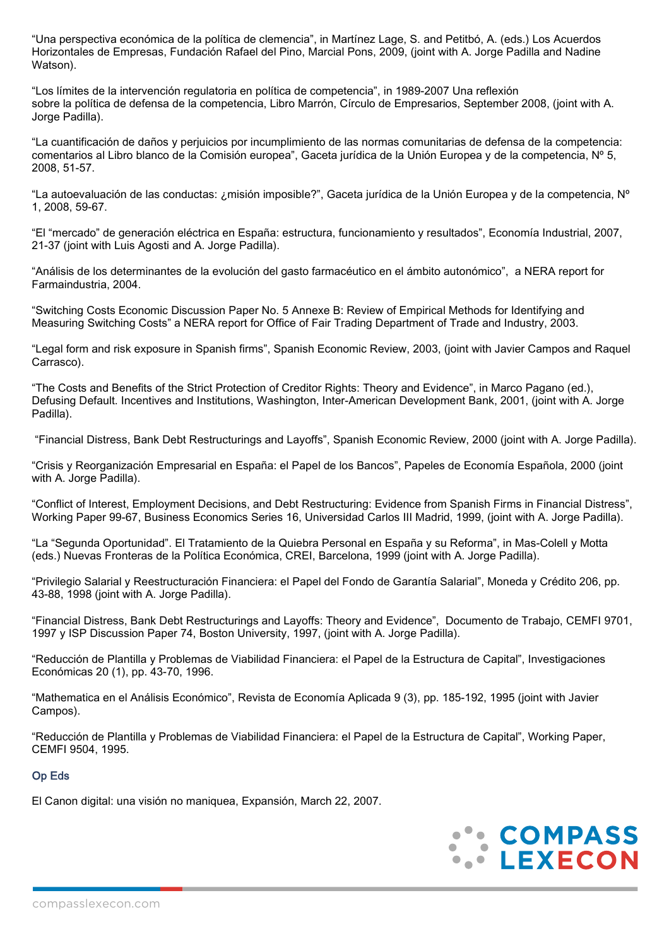"Una perspectiva económica de la política de clemencia", in Martínez Lage, S. and Petitbó, A. (eds.) Los Acuerdos Horizontales de Empresas, Fundación Rafael del Pino, Marcial Pons, 2009, (joint with A. Jorge Padilla and Nadine Watson).

"Los límites de la intervención regulatoria en política de competencia", in 1989-2007 Una reflexión sobre la política de defensa de la competencia, Libro Marrón, Círculo de Empresarios, September 2008, (joint with A. Jorge Padilla).

"La cuantificación de daños y perjuicios por incumplimiento de las normas comunitarias de defensa de la competencia: comentarios al Libro blanco de la Comisión europea", Gaceta jurídica de la Unión Europea y de la competencia, Nº 5, 2008, 51-57.

"La autoevaluación de las conductas: ¿misión imposible?", Gaceta jurídica de la Unión Europea y de la competencia, Nº 1, 2008, 59-67.

"El "mercado" de generación eléctrica en España: estructura, funcionamiento y resultados", Economía Industrial, 2007, 21-37 (joint with Luis Agosti and A. Jorge Padilla).

"Análisis de los determinantes de la evolución del gasto farmacéutico en el ámbito autonómico", a NERA report for Farmaindustria, 2004.

"Switching Costs Economic Discussion Paper No. 5 Annexe B: Review of Empirical Methods for Identifying and Measuring Switching Costs" a NERA report for Office of Fair Trading Department of Trade and Industry, 2003.

"Legal form and risk exposure in Spanish firms", Spanish Economic Review, 2003, (joint with Javier Campos and Raquel Carrasco).

"The Costs and Benefits of the Strict Protection of Creditor Rights: Theory and Evidence", in Marco Pagano (ed.), Defusing Default. Incentives and Institutions, Washington, Inter-American Development Bank, 2001, (joint with A. Jorge Padilla).

"Financial Distress, Bank Debt Restructurings and Layoffs", Spanish Economic Review, 2000 (joint with A. Jorge Padilla).

"Crisis y Reorganización Empresarial en España: el Papel de los Bancos", Papeles de Economía Española, 2000 (joint with A. Jorge Padilla).

"Conflict of Interest, Employment Decisions, and Debt Restructuring: Evidence from Spanish Firms in Financial Distress", Working Paper 99-67, Business Economics Series 16, Universidad Carlos III Madrid, 1999, (joint with A. Jorge Padilla).

"La "Segunda Oportunidad". El Tratamiento de la Quiebra Personal en España y su Reforma", in Mas-Colell y Motta (eds.) Nuevas Fronteras de la Política Económica, CREI, Barcelona, 1999 (joint with A. Jorge Padilla).

"Privilegio Salarial y Reestructuración Financiera: el Papel del Fondo de Garantía Salarial", Moneda y Crédito 206, pp. 43-88, 1998 (joint with A. Jorge Padilla).

"Financial Distress, Bank Debt Restructurings and Layoffs: Theory and Evidence", Documento de Trabajo, CEMFI 9701, 1997 y ISP Discussion Paper 74, Boston University, 1997, (joint with A. Jorge Padilla).

"Reducción de Plantilla y Problemas de Viabilidad Financiera: el Papel de la Estructura de Capital", Investigaciones Económicas 20 (1), pp. 43-70, 1996.

"Mathematica en el Análisis Económico", Revista de Economía Aplicada 9 (3), pp. 185-192, 1995 (joint with Javier Campos).

"Reducción de Plantilla y Problemas de Viabilidad Financiera: el Papel de la Estructura de Capital", Working Paper, CEMFI 9504, 1995.

## Op Eds

El Canon digital: una visión no maniquea, Expansión, March 22, 2007.

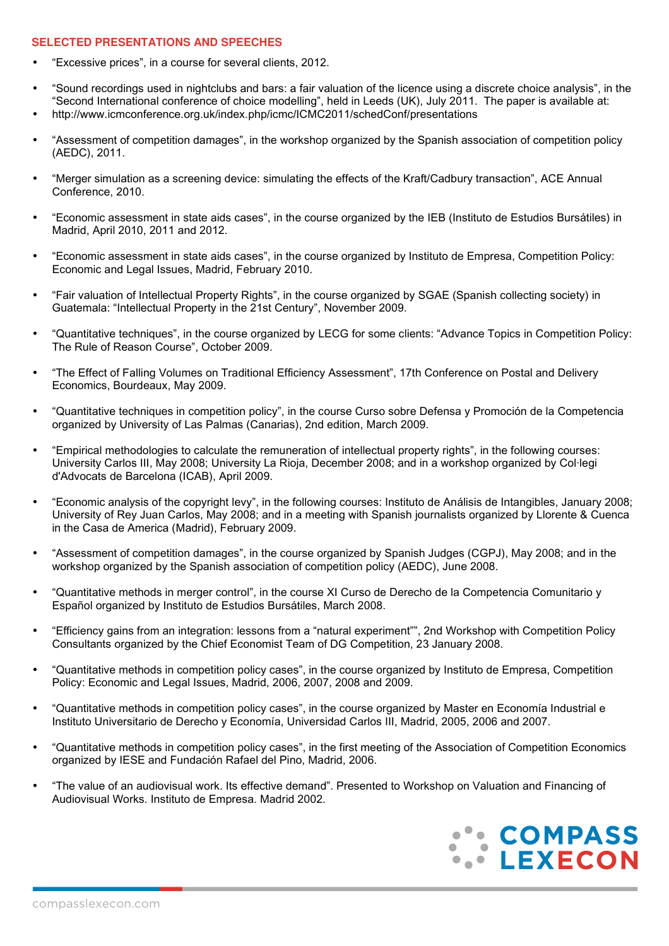#### **SELECTED PRESENTATIONS AND SPEECHES**

- "Excessive prices", in a course for several clients, 2012.
- "Sound recordings used in nightclubs and bars: a fair valuation of the licence using a discrete choice analysis", in the "Second International conference of choice modelling", held in Leeds (UK), July 2011. The paper is available at: • http://www.icmconference.org.uk/index.php/icmc/ICMC2011/schedConf/presentations
- "Assessment of competition damages", in the workshop organized by the Spanish association of competition policy (AEDC), 2011.
- "Merger simulation as a screening device: simulating the effects of the Kraft/Cadbury transaction", ACE Annual Conference, 2010.
- "Economic assessment in state aids cases", in the course organized by the IEB (Instituto de Estudios Bursátiles) in Madrid, April 2010, 2011 and 2012.
- "Economic assessment in state aids cases", in the course organized by Instituto de Empresa, Competition Policy: Economic and Legal Issues, Madrid, February 2010.
- "Fair valuation of Intellectual Property Rights", in the course organized by SGAE (Spanish collecting society) in Guatemala: "Intellectual Property in the 21st Century", November 2009.
- "Quantitative techniques", in the course organized by LECG for some clients: "Advance Topics in Competition Policy: The Rule of Reason Course", October 2009.
- "The Effect of Falling Volumes on Traditional Efficiency Assessment", 17th Conference on Postal and Delivery Economics, Bourdeaux, May 2009.
- "Quantitative techniques in competition policy", in the course Curso sobre Defensa y Promoción de la Competencia organized by University of Las Palmas (Canarias), 2nd edition, March 2009.
- "Empirical methodologies to calculate the remuneration of intellectual property rights", in the following courses: University Carlos III, May 2008; University La Rioja, December 2008; and in a workshop organized by Col·legi d'Advocats de Barcelona (ICAB), April 2009.
- "Economic analysis of the copyright levy", in the following courses: Instituto de Análisis de Intangibles, January 2008; University of Rey Juan Carlos, May 2008; and in a meeting with Spanish journalists organized by Llorente & Cuenca in the Casa de America (Madrid), February 2009.
- "Assessment of competition damages", in the course organized by Spanish Judges (CGPJ), May 2008; and in the workshop organized by the Spanish association of competition policy (AEDC), June 2008.
- "Quantitative methods in merger control", in the course XI Curso de Derecho de la Competencia Comunitario y Español organized by Instituto de Estudios Bursátiles, March 2008.
- "Efficiency gains from an integration: lessons from a "natural experiment"", 2nd Workshop with Competition Policy Consultants organized by the Chief Economist Team of DG Competition, 23 January 2008.
- "Quantitative methods in competition policy cases", in the course organized by Instituto de Empresa, Competition Policy: Economic and Legal Issues, Madrid, 2006, 2007, 2008 and 2009.
- "Quantitative methods in competition policy cases", in the course organized by Master en Economía Industrial e Instituto Universitario de Derecho y Economía, Universidad Carlos III, Madrid, 2005, 2006 and 2007.
- "Quantitative methods in competition policy cases", in the first meeting of the Association of Competition Economics organized by IESE and Fundación Rafael del Pino, Madrid, 2006.
- "The value of an audiovisual work. Its effective demand". Presented to Workshop on Valuation and Financing of Audiovisual Works. Instituto de Empresa. Madrid 2002.